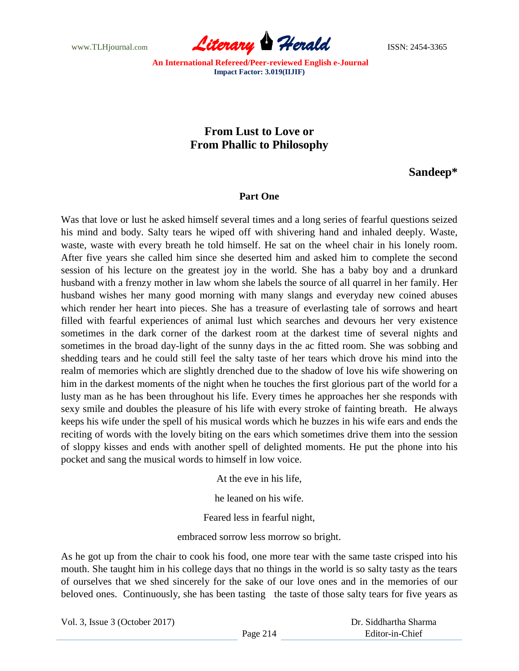

## **From Lust to Love or From Phallic to Philosophy**

**Sandeep\***

## **Part One**

Was that love or lust he asked himself several times and a long series of fearful questions seized his mind and body. Salty tears he wiped off with shivering hand and inhaled deeply. Waste, waste, waste with every breath he told himself. He sat on the wheel chair in his lonely room. After five years she called him since she deserted him and asked him to complete the second session of his lecture on the greatest joy in the world. She has a baby boy and a drunkard husband with a frenzy mother in law whom she labels the source of all quarrel in her family. Her husband wishes her many good morning with many slangs and everyday new coined abuses which render her heart into pieces. She has a treasure of everlasting tale of sorrows and heart filled with fearful experiences of animal lust which searches and devours her very existence sometimes in the dark corner of the darkest room at the darkest time of several nights and sometimes in the broad day-light of the sunny days in the ac fitted room. She was sobbing and shedding tears and he could still feel the salty taste of her tears which drove his mind into the realm of memories which are slightly drenched due to the shadow of love his wife showering on him in the darkest moments of the night when he touches the first glorious part of the world for a lusty man as he has been throughout his life. Every times he approaches her she responds with sexy smile and doubles the pleasure of his life with every stroke of fainting breath. He always keeps his wife under the spell of his musical words which he buzzes in his wife ears and ends the reciting of words with the lovely biting on the ears which sometimes drive them into the session of sloppy kisses and ends with another spell of delighted moments. He put the phone into his pocket and sang the musical words to himself in low voice.

At the eve in his life,

he leaned on his wife.

Feared less in fearful night,

embraced sorrow less morrow so bright.

As he got up from the chair to cook his food, one more tear with the same taste crisped into his mouth. She taught him in his college days that no things in the world is so salty tasty as the tears of ourselves that we shed sincerely for the sake of our love ones and in the memories of our beloved ones. Continuously, she has been tasting the taste of those salty tears for five years as

Vol. 3, Issue 3 (October 2017)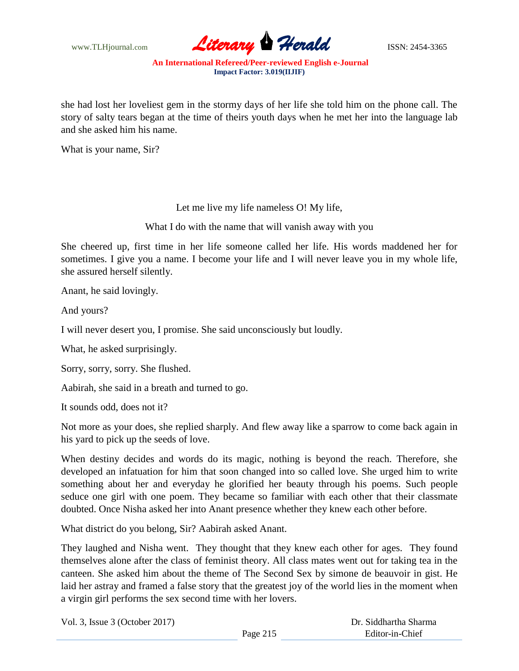

she had lost her loveliest gem in the stormy days of her life she told him on the phone call. The story of salty tears began at the time of theirs youth days when he met her into the language lab and she asked him his name.

What is your name, Sir?

Let me live my life nameless O! My life,

What I do with the name that will vanish away with you

She cheered up, first time in her life someone called her life. His words maddened her for sometimes. I give you a name. I become your life and I will never leave you in my whole life, she assured herself silently.

Anant, he said lovingly.

And yours?

I will never desert you, I promise. She said unconsciously but loudly.

What, he asked surprisingly.

Sorry, sorry, sorry. She flushed.

Aabirah, she said in a breath and turned to go.

It sounds odd, does not it?

Not more as your does, she replied sharply. And flew away like a sparrow to come back again in his yard to pick up the seeds of love.

When destiny decides and words do its magic, nothing is beyond the reach. Therefore, she developed an infatuation for him that soon changed into so called love. She urged him to write something about her and everyday he glorified her beauty through his poems. Such people seduce one girl with one poem. They became so familiar with each other that their classmate doubted. Once Nisha asked her into Anant presence whether they knew each other before.

What district do you belong, Sir? Aabirah asked Anant.

They laughed and Nisha went. They thought that they knew each other for ages. They found themselves alone after the class of feminist theory. All class mates went out for taking tea in the canteen. She asked him about the theme of The Second Sex by simone de beauvoir in gist. He laid her astray and framed a false story that the greatest joy of the world lies in the moment when a virgin girl performs the sex second time with her lovers.

| Vol. 3, Issue $3$ (October 2017) |          | Dr. Siddhartha Sharma |
|----------------------------------|----------|-----------------------|
|                                  | Page 215 | Editor-in-Chief       |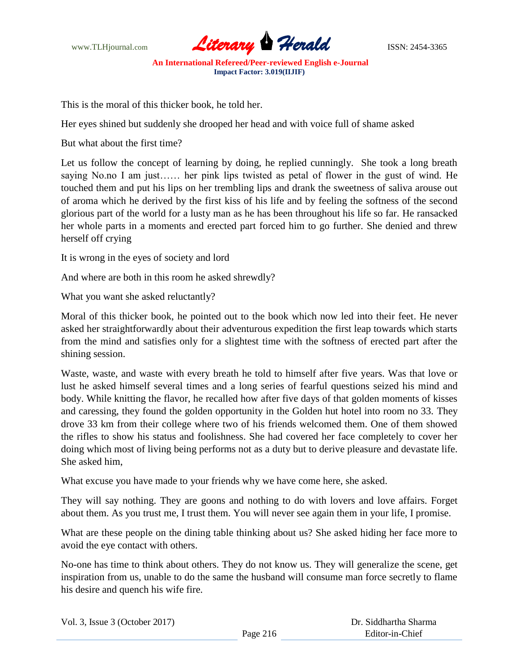

This is the moral of this thicker book, he told her.

Her eyes shined but suddenly she drooped her head and with voice full of shame asked

But what about the first time?

Let us follow the concept of learning by doing, he replied cunningly. She took a long breath saying No.no I am just…… her pink lips twisted as petal of flower in the gust of wind. He touched them and put his lips on her trembling lips and drank the sweetness of saliva arouse out of aroma which he derived by the first kiss of his life and by feeling the softness of the second glorious part of the world for a lusty man as he has been throughout his life so far. He ransacked her whole parts in a moments and erected part forced him to go further. She denied and threw herself off crying

It is wrong in the eyes of society and lord

And where are both in this room he asked shrewdly?

What you want she asked reluctantly?

Moral of this thicker book, he pointed out to the book which now led into their feet. He never asked her straightforwardly about their adventurous expedition the first leap towards which starts from the mind and satisfies only for a slightest time with the softness of erected part after the shining session.

Waste, waste, and waste with every breath he told to himself after five years. Was that love or lust he asked himself several times and a long series of fearful questions seized his mind and body. While knitting the flavor, he recalled how after five days of that golden moments of kisses and caressing, they found the golden opportunity in the Golden hut hotel into room no 33. They drove 33 km from their college where two of his friends welcomed them. One of them showed the rifles to show his status and foolishness. She had covered her face completely to cover her doing which most of living being performs not as a duty but to derive pleasure and devastate life. She asked him,

What excuse you have made to your friends why we have come here, she asked.

They will say nothing. They are goons and nothing to do with lovers and love affairs. Forget about them. As you trust me, I trust them. You will never see again them in your life, I promise.

What are these people on the dining table thinking about us? She asked hiding her face more to avoid the eye contact with others.

No-one has time to think about others. They do not know us. They will generalize the scene, get inspiration from us, unable to do the same the husband will consume man force secretly to flame his desire and quench his wife fire.

| Vol. 3, Issue $3$ (October 2017) |          | Dr. Siddhartha Sharma |
|----------------------------------|----------|-----------------------|
|                                  | Page 216 | Editor-in-Chief       |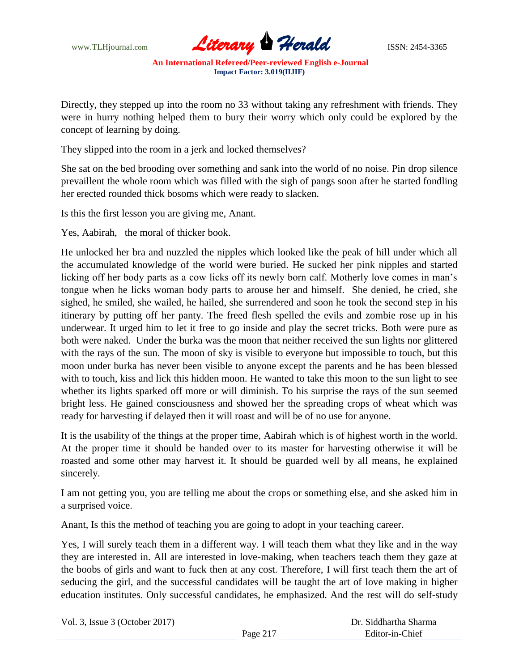

Directly, they stepped up into the room no 33 without taking any refreshment with friends. They were in hurry nothing helped them to bury their worry which only could be explored by the concept of learning by doing.

They slipped into the room in a jerk and locked themselves?

She sat on the bed brooding over something and sank into the world of no noise. Pin drop silence prevaillent the whole room which was filled with the sigh of pangs soon after he started fondling her erected rounded thick bosoms which were ready to slacken.

Is this the first lesson you are giving me, Anant.

Yes, Aabirah, the moral of thicker book.

He unlocked her bra and nuzzled the nipples which looked like the peak of hill under which all the accumulated knowledge of the world were buried. He sucked her pink nipples and started licking off her body parts as a cow licks off its newly born calf. Motherly love comes in man's tongue when he licks woman body parts to arouse her and himself. She denied, he cried, she sighed, he smiled, she wailed, he hailed, she surrendered and soon he took the second step in his itinerary by putting off her panty. The freed flesh spelled the evils and zombie rose up in his underwear. It urged him to let it free to go inside and play the secret tricks. Both were pure as both were naked. Under the burka was the moon that neither received the sun lights nor glittered with the rays of the sun. The moon of sky is visible to everyone but impossible to touch, but this moon under burka has never been visible to anyone except the parents and he has been blessed with to touch, kiss and lick this hidden moon. He wanted to take this moon to the sun light to see whether its lights sparked off more or will diminish. To his surprise the rays of the sun seemed bright less. He gained consciousness and showed her the spreading crops of wheat which was ready for harvesting if delayed then it will roast and will be of no use for anyone.

It is the usability of the things at the proper time, Aabirah which is of highest worth in the world. At the proper time it should be handed over to its master for harvesting otherwise it will be roasted and some other may harvest it. It should be guarded well by all means, he explained sincerely.

I am not getting you, you are telling me about the crops or something else, and she asked him in a surprised voice.

Anant, Is this the method of teaching you are going to adopt in your teaching career.

Yes, I will surely teach them in a different way. I will teach them what they like and in the way they are interested in. All are interested in love-making, when teachers teach them they gaze at the boobs of girls and want to fuck then at any cost. Therefore, I will first teach them the art of seducing the girl, and the successful candidates will be taught the art of love making in higher education institutes. Only successful candidates, he emphasized. And the rest will do self-study

| Vol. 3, Issue $3$ (October 2017) |          | Dr. Siddhartha Sharma |
|----------------------------------|----------|-----------------------|
|                                  | Page 217 | Editor-in-Chief       |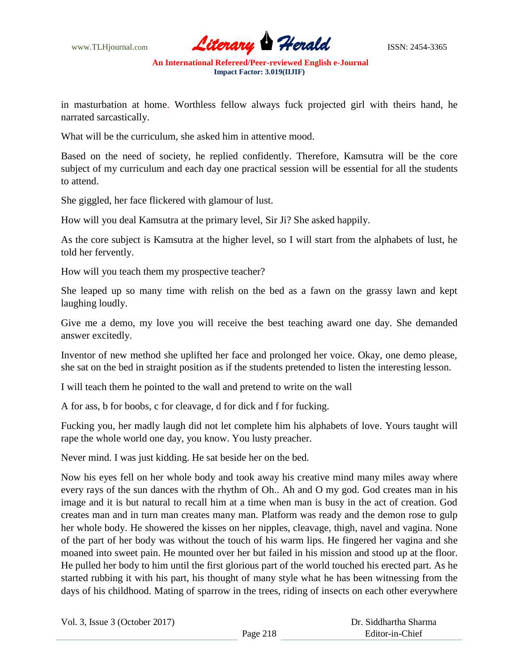

in masturbation at home. Worthless fellow always fuck projected girl with theirs hand, he narrated sarcastically.

What will be the curriculum, she asked him in attentive mood.

Based on the need of society, he replied confidently. Therefore, Kamsutra will be the core subject of my curriculum and each day one practical session will be essential for all the students to attend.

She giggled, her face flickered with glamour of lust.

How will you deal Kamsutra at the primary level, Sir Ji? She asked happily.

As the core subject is Kamsutra at the higher level, so I will start from the alphabets of lust, he told her fervently.

How will you teach them my prospective teacher?

She leaped up so many time with relish on the bed as a fawn on the grassy lawn and kept laughing loudly.

Give me a demo, my love you will receive the best teaching award one day. She demanded answer excitedly.

Inventor of new method she uplifted her face and prolonged her voice. Okay, one demo please, she sat on the bed in straight position as if the students pretended to listen the interesting lesson.

I will teach them he pointed to the wall and pretend to write on the wall

A for ass, b for boobs, c for cleavage, d for dick and f for fucking.

Fucking you, her madly laugh did not let complete him his alphabets of love. Yours taught will rape the whole world one day, you know. You lusty preacher.

Never mind. I was just kidding. He sat beside her on the bed.

Now his eyes fell on her whole body and took away his creative mind many miles away where every rays of the sun dances with the rhythm of Oh.. Ah and O my god. God creates man in his image and it is but natural to recall him at a time when man is busy in the act of creation. God creates man and in turn man creates many man. Platform was ready and the demon rose to gulp her whole body. He showered the kisses on her nipples, cleavage, thigh, navel and vagina. None of the part of her body was without the touch of his warm lips. He fingered her vagina and she moaned into sweet pain. He mounted over her but failed in his mission and stood up at the floor. He pulled her body to him until the first glorious part of the world touched his erected part. As he started rubbing it with his part, his thought of many style what he has been witnessing from the days of his childhood. Mating of sparrow in the trees, riding of insects on each other everywhere

|  |  | Vol. 3, Issue 3 (October 2017) |  |
|--|--|--------------------------------|--|
|--|--|--------------------------------|--|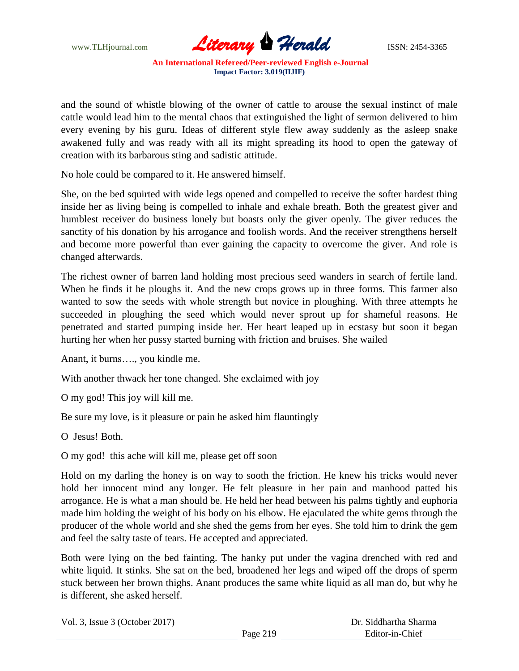

and the sound of whistle blowing of the owner of cattle to arouse the sexual instinct of male cattle would lead him to the mental chaos that extinguished the light of sermon delivered to him every evening by his guru. Ideas of different style flew away suddenly as the asleep snake awakened fully and was ready with all its might spreading its hood to open the gateway of creation with its barbarous sting and sadistic attitude.

No hole could be compared to it. He answered himself.

She, on the bed squirted with wide legs opened and compelled to receive the softer hardest thing inside her as living being is compelled to inhale and exhale breath. Both the greatest giver and humblest receiver do business lonely but boasts only the giver openly. The giver reduces the sanctity of his donation by his arrogance and foolish words. And the receiver strengthens herself and become more powerful than ever gaining the capacity to overcome the giver. And role is changed afterwards.

The richest owner of barren land holding most precious seed wanders in search of fertile land. When he finds it he ploughs it. And the new crops grows up in three forms. This farmer also wanted to sow the seeds with whole strength but novice in ploughing. With three attempts he succeeded in ploughing the seed which would never sprout up for shameful reasons. He penetrated and started pumping inside her. Her heart leaped up in ecstasy but soon it began hurting her when her pussy started burning with friction and bruises. She wailed

Anant, it burns…., you kindle me.

With another thwack her tone changed. She exclaimed with joy

O my god! This joy will kill me.

Be sure my love, is it pleasure or pain he asked him flauntingly

O Jesus! Both.

O my god! this ache will kill me, please get off soon

Hold on my darling the honey is on way to sooth the friction. He knew his tricks would never hold her innocent mind any longer. He felt pleasure in her pain and manhood patted his arrogance. He is what a man should be. He held her head between his palms tightly and euphoria made him holding the weight of his body on his elbow. He ejaculated the white gems through the producer of the whole world and she shed the gems from her eyes. She told him to drink the gem and feel the salty taste of tears. He accepted and appreciated.

Both were lying on the bed fainting. The hanky put under the vagina drenched with red and white liquid. It stinks. She sat on the bed, broadened her legs and wiped off the drops of sperm stuck between her brown thighs. Anant produces the same white liquid as all man do, but why he is different, she asked herself.

| Vol. 3, Issue $3$ (October 2017) |          | Dr. Siddhartha Sharma |
|----------------------------------|----------|-----------------------|
|                                  | Page 219 | Editor-in-Chief       |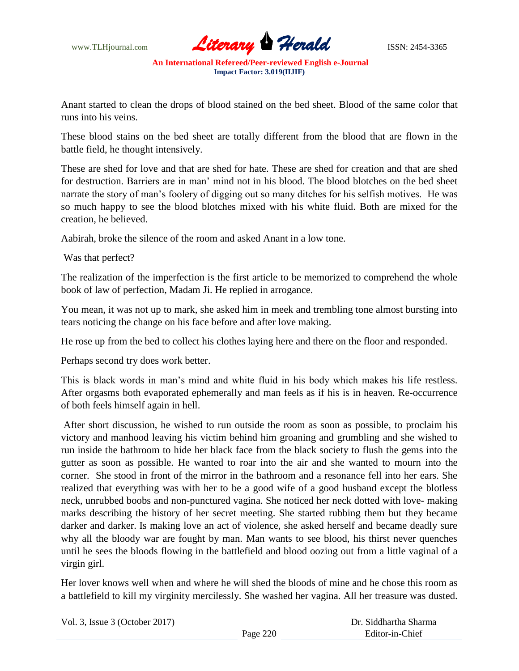

Anant started to clean the drops of blood stained on the bed sheet. Blood of the same color that runs into his veins.

These blood stains on the bed sheet are totally different from the blood that are flown in the battle field, he thought intensively.

These are shed for love and that are shed for hate. These are shed for creation and that are shed for destruction. Barriers are in man' mind not in his blood. The blood blotches on the bed sheet narrate the story of man's foolery of digging out so many ditches for his selfish motives. He was so much happy to see the blood blotches mixed with his white fluid. Both are mixed for the creation, he believed.

Aabirah, broke the silence of the room and asked Anant in a low tone.

Was that perfect?

The realization of the imperfection is the first article to be memorized to comprehend the whole book of law of perfection, Madam Ji. He replied in arrogance.

You mean, it was not up to mark, she asked him in meek and trembling tone almost bursting into tears noticing the change on his face before and after love making.

He rose up from the bed to collect his clothes laying here and there on the floor and responded.

Perhaps second try does work better.

This is black words in man's mind and white fluid in his body which makes his life restless. After orgasms both evaporated ephemerally and man feels as if his is in heaven. Re-occurrence of both feels himself again in hell.

After short discussion, he wished to run outside the room as soon as possible, to proclaim his victory and manhood leaving his victim behind him groaning and grumbling and she wished to run inside the bathroom to hide her black face from the black society to flush the gems into the gutter as soon as possible. He wanted to roar into the air and she wanted to mourn into the corner. She stood in front of the mirror in the bathroom and a resonance fell into her ears. She realized that everything was with her to be a good wife of a good husband except the blotless neck, unrubbed boobs and non-punctured vagina. She noticed her neck dotted with love- making marks describing the history of her secret meeting. She started rubbing them but they became darker and darker. Is making love an act of violence, she asked herself and became deadly sure why all the bloody war are fought by man. Man wants to see blood, his thirst never quenches until he sees the bloods flowing in the battlefield and blood oozing out from a little vaginal of a virgin girl.

Her lover knows well when and where he will shed the bloods of mine and he chose this room as a battlefield to kill my virginity mercilessly. She washed her vagina. All her treasure was dusted.

| Vol. 3, Issue $3$ (October 2017) |          | Dr. Siddhartha Sharma |
|----------------------------------|----------|-----------------------|
|                                  | Page 220 | Editor-in-Chief       |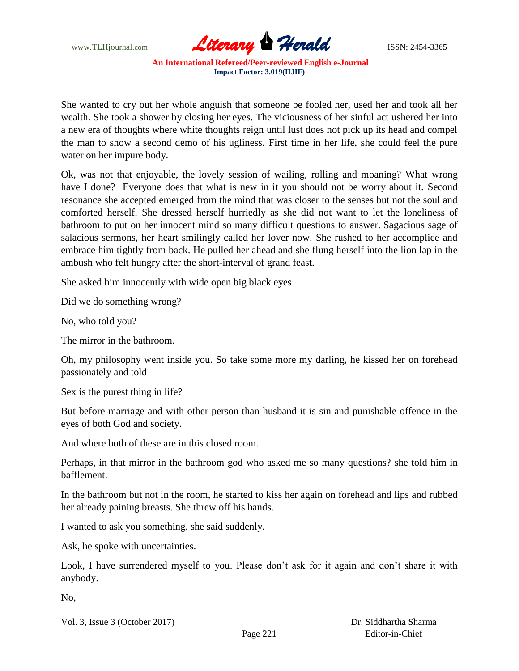

She wanted to cry out her whole anguish that someone be fooled her, used her and took all her wealth. She took a shower by closing her eyes. The viciousness of her sinful act ushered her into a new era of thoughts where white thoughts reign until lust does not pick up its head and compel the man to show a second demo of his ugliness. First time in her life, she could feel the pure water on her impure body.

Ok, was not that enjoyable, the lovely session of wailing, rolling and moaning? What wrong have I done? Everyone does that what is new in it you should not be worry about it. Second resonance she accepted emerged from the mind that was closer to the senses but not the soul and comforted herself. She dressed herself hurriedly as she did not want to let the loneliness of bathroom to put on her innocent mind so many difficult questions to answer. Sagacious sage of salacious sermons, her heart smilingly called her lover now. She rushed to her accomplice and embrace him tightly from back. He pulled her ahead and she flung herself into the lion lap in the ambush who felt hungry after the short-interval of grand feast.

She asked him innocently with wide open big black eyes

Did we do something wrong?

No, who told you?

The mirror in the bathroom.

Oh, my philosophy went inside you. So take some more my darling, he kissed her on forehead passionately and told

Sex is the purest thing in life?

But before marriage and with other person than husband it is sin and punishable offence in the eyes of both God and society.

And where both of these are in this closed room.

Perhaps, in that mirror in the bathroom god who asked me so many questions? she told him in bafflement.

In the bathroom but not in the room, he started to kiss her again on forehead and lips and rubbed her already paining breasts. She threw off his hands.

I wanted to ask you something, she said suddenly.

Ask, he spoke with uncertainties.

Look, I have surrendered myself to you. Please don't ask for it again and don't share it with anybody.

No,

Vol. 3, Issue 3 (October 2017)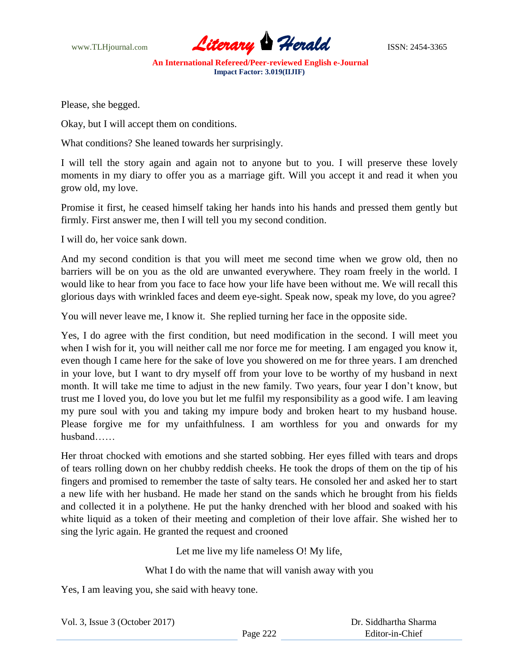

Please, she begged.

Okay, but I will accept them on conditions.

What conditions? She leaned towards her surprisingly.

I will tell the story again and again not to anyone but to you. I will preserve these lovely moments in my diary to offer you as a marriage gift. Will you accept it and read it when you grow old, my love.

Promise it first, he ceased himself taking her hands into his hands and pressed them gently but firmly. First answer me, then I will tell you my second condition.

I will do, her voice sank down.

And my second condition is that you will meet me second time when we grow old, then no barriers will be on you as the old are unwanted everywhere. They roam freely in the world. I would like to hear from you face to face how your life have been without me. We will recall this glorious days with wrinkled faces and deem eye-sight. Speak now, speak my love, do you agree?

You will never leave me, I know it. She replied turning her face in the opposite side.

Yes, I do agree with the first condition, but need modification in the second. I will meet you when I wish for it, you will neither call me nor force me for meeting. I am engaged you know it, even though I came here for the sake of love you showered on me for three years. I am drenched in your love, but I want to dry myself off from your love to be worthy of my husband in next month. It will take me time to adjust in the new family. Two years, four year I don't know, but trust me I loved you, do love you but let me fulfil my responsibility as a good wife. I am leaving my pure soul with you and taking my impure body and broken heart to my husband house. Please forgive me for my unfaithfulness. I am worthless for you and onwards for my husband……

Her throat chocked with emotions and she started sobbing. Her eyes filled with tears and drops of tears rolling down on her chubby reddish cheeks. He took the drops of them on the tip of his fingers and promised to remember the taste of salty tears. He consoled her and asked her to start a new life with her husband. He made her stand on the sands which he brought from his fields and collected it in a polythene. He put the hanky drenched with her blood and soaked with his white liquid as a token of their meeting and completion of their love affair. She wished her to sing the lyric again. He granted the request and crooned

Let me live my life nameless O! My life,

What I do with the name that will vanish away with you

Yes, I am leaving you, she said with heavy tone.

Vol. 3, Issue 3 (October 2017)